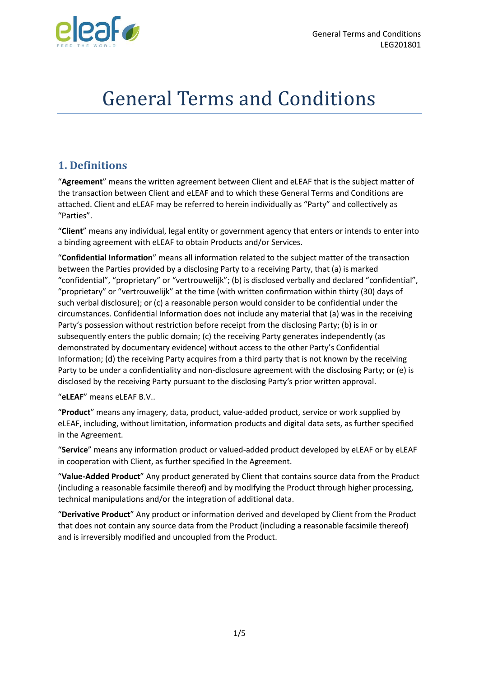

# General Terms and Conditions

# **1. Definitions**

"**Agreement**" means the written agreement between Client and eLEAF that is the subject matter of the transaction between Client and eLEAF and to which these General Terms and Conditions are attached. Client and eLEAF may be referred to herein individually as "Party" and collectively as "Parties".

"**Client**" means any individual, legal entity or government agency that enters or intends to enter into a binding agreement with eLEAF to obtain Products and/or Services.

"**Confidential Information**" means all information related to the subject matter of the transaction between the Parties provided by a disclosing Party to a receiving Party, that (a) is marked "confidential", "proprietary" or "vertrouwelijk"; (b) is disclosed verbally and declared "confidential", "proprietary" or "vertrouwelijk" at the time (with written confirmation within thirty (30) days of such verbal disclosure); or (c) a reasonable person would consider to be confidential under the circumstances. Confidential Information does not include any material that (a) was in the receiving Party's possession without restriction before receipt from the disclosing Party; (b) is in or subsequently enters the public domain; (c) the receiving Party generates independently (as demonstrated by documentary evidence) without access to the other Party's Confidential Information; (d) the receiving Party acquires from a third party that is not known by the receiving Party to be under a confidentiality and non-disclosure agreement with the disclosing Party; or (e) is disclosed by the receiving Party pursuant to the disclosing Party's prior written approval.

"**eLEAF**" means eLEAF B.V..

"**Product**" means any imagery, data, product, value-added product, service or work supplied by eLEAF, including, without limitation, information products and digital data sets, as further specified in the Agreement.

"**Service**" means any information product or valued-added product developed by eLEAF or by eLEAF in cooperation with Client, as further specified In the Agreement.

"**Value-Added Product**" Any product generated by Client that contains source data from the Product (including a reasonable facsimile thereof) and by modifying the Product through higher processing, technical manipulations and/or the integration of additional data.

"**Derivative Product**" Any product or information derived and developed by Client from the Product that does not contain any source data from the Product (including a reasonable facsimile thereof) and is irreversibly modified and uncoupled from the Product.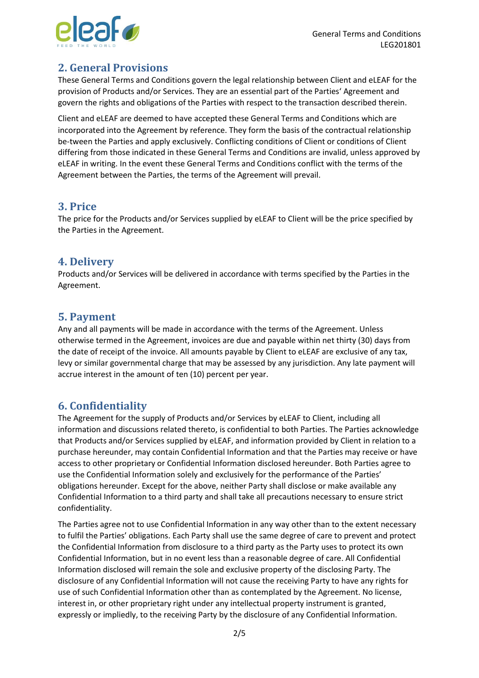

# **2. General Provisions**

These General Terms and Conditions govern the legal relationship between Client and eLEAF for the provision of Products and/or Services. They are an essential part of the Parties' Agreement and govern the rights and obligations of the Parties with respect to the transaction described therein.

Client and eLEAF are deemed to have accepted these General Terms and Conditions which are incorporated into the Agreement by reference. They form the basis of the contractual relationship be-tween the Parties and apply exclusively. Conflicting conditions of Client or conditions of Client differing from those indicated in these General Terms and Conditions are invalid, unless approved by eLEAF in writing. In the event these General Terms and Conditions conflict with the terms of the Agreement between the Parties, the terms of the Agreement will prevail.

#### **3. Price**

The price for the Products and/or Services supplied by eLEAF to Client will be the price specified by the Parties in the Agreement.

#### **4. Delivery**

Products and/or Services will be delivered in accordance with terms specified by the Parties in the Agreement.

## **5. Payment**

Any and all payments will be made in accordance with the terms of the Agreement. Unless otherwise termed in the Agreement, invoices are due and payable within net thirty (30) days from the date of receipt of the invoice. All amounts payable by Client to eLEAF are exclusive of any tax, levy or similar governmental charge that may be assessed by any jurisdiction. Any late payment will accrue interest in the amount of ten (10) percent per year.

## **6. Confidentiality**

The Agreement for the supply of Products and/or Services by eLEAF to Client, including all information and discussions related thereto, is confidential to both Parties. The Parties acknowledge that Products and/or Services supplied by eLEAF, and information provided by Client in relation to a purchase hereunder, may contain Confidential Information and that the Parties may receive or have access to other proprietary or Confidential Information disclosed hereunder. Both Parties agree to use the Confidential Information solely and exclusively for the performance of the Parties' obligations hereunder. Except for the above, neither Party shall disclose or make available any Confidential Information to a third party and shall take all precautions necessary to ensure strict confidentiality.

The Parties agree not to use Confidential Information in any way other than to the extent necessary to fulfil the Parties' obligations. Each Party shall use the same degree of care to prevent and protect the Confidential Information from disclosure to a third party as the Party uses to protect its own Confidential Information, but in no event less than a reasonable degree of care. All Confidential Information disclosed will remain the sole and exclusive property of the disclosing Party. The disclosure of any Confidential Information will not cause the receiving Party to have any rights for use of such Confidential Information other than as contemplated by the Agreement. No license, interest in, or other proprietary right under any intellectual property instrument is granted, expressly or impliedly, to the receiving Party by the disclosure of any Confidential Information.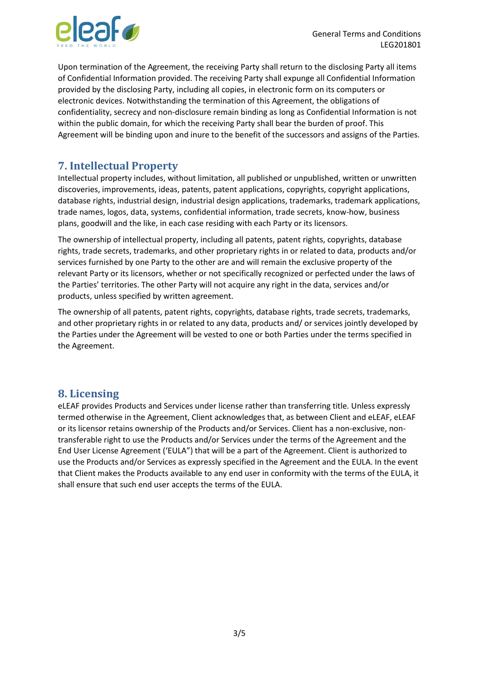

Upon termination of the Agreement, the receiving Party shall return to the disclosing Party all items of Confidential Information provided. The receiving Party shall expunge all Confidential Information provided by the disclosing Party, including all copies, in electronic form on its computers or electronic devices. Notwithstanding the termination of this Agreement, the obligations of confidentiality, secrecy and non-disclosure remain binding as long as Confidential Information is not within the public domain, for which the receiving Party shall bear the burden of proof. This Agreement will be binding upon and inure to the benefit of the successors and assigns of the Parties.

# **7. Intellectual Property**

Intellectual property includes, without limitation, all published or unpublished, written or unwritten discoveries, improvements, ideas, patents, patent applications, copyrights, copyright applications, database rights, industrial design, industrial design applications, trademarks, trademark applications, trade names, logos, data, systems, confidential information, trade secrets, know-how, business plans, goodwill and the like, in each case residing with each Party or its licensors.

The ownership of intellectual property, including all patents, patent rights, copyrights, database rights, trade secrets, trademarks, and other proprietary rights in or related to data, products and/or services furnished by one Party to the other are and will remain the exclusive property of the relevant Party or its licensors, whether or not specifically recognized or perfected under the laws of the Parties' territories. The other Party will not acquire any right in the data, services and/or products, unless specified by written agreement.

The ownership of all patents, patent rights, copyrights, database rights, trade secrets, trademarks, and other proprietary rights in or related to any data, products and/ or services jointly developed by the Parties under the Agreement will be vested to one or both Parties under the terms specified in the Agreement.

## **8. Licensing**

eLEAF provides Products and Services under license rather than transferring title. Unless expressly termed otherwise in the Agreement, Client acknowledges that, as between Client and eLEAF, eLEAF or its licensor retains ownership of the Products and/or Services. Client has a non-exclusive, nontransferable right to use the Products and/or Services under the terms of the Agreement and the End User License Agreement ('EULA") that will be a part of the Agreement. Client is authorized to use the Products and/or Services as expressly specified in the Agreement and the EULA. In the event that Client makes the Products available to any end user in conformity with the terms of the EULA, it shall ensure that such end user accepts the terms of the EULA.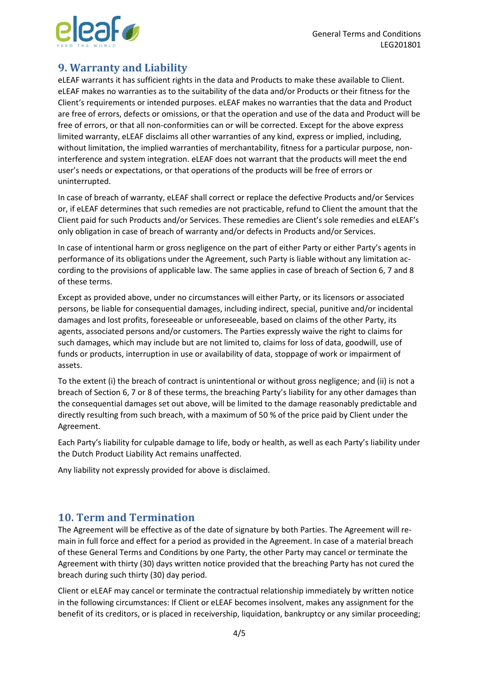

## **9. Warranty and Liability**

eLEAF warrants it has sufficient rights in the data and Products to make these available to Client. eLEAF makes no warranties as to the suitability of the data and/or Products or their fitness for the Client's requirements or intended purposes. eLEAF makes no warranties that the data and Product are free of errors, defects or omissions, or that the operation and use of the data and Product will be free of errors, or that all non-conformities can or will be corrected. Except for the above express limited warranty, eLEAF disclaims all other warranties of any kind, express or implied, including, without limitation, the implied warranties of merchantability, fitness for a particular purpose, noninterference and system integration. eLEAF does not warrant that the products will meet the end user's needs or expectations, or that operations of the products will be free of errors or uninterrupted.

In case of breach of warranty, eLEAF shall correct or replace the defective Products and/or Services or, if eLEAF determines that such remedies are not practicable, refund to Client the amount that the Client paid for such Products and/or Services. These remedies are Client's sole remedies and eLEAF's only obligation in case of breach of warranty and/or defects in Products and/or Services.

In case of intentional harm or gross negligence on the part of either Party or either Party's agents in performance of its obligations under the Agreement, such Party is liable without any limitation according to the provisions of applicable law. The same applies in case of breach of Section 6, 7 and 8 of these terms.

Except as provided above, under no circumstances will either Party, or its licensors or associated persons, be liable for consequential damages, including indirect, special, punitive and/or incidental damages and lost profits, foreseeable or unforeseeable, based on claims of the other Party, its agents, associated persons and/or customers. The Parties expressly waive the right to claims for such damages, which may include but are not limited to, claims for loss of data, goodwill, use of funds or products, interruption in use or availability of data, stoppage of work or impairment of assets.

To the extent (i) the breach of contract is unintentional or without gross negligence; and (ii) is not a breach of Section 6, 7 or 8 of these terms, the breaching Party's liability for any other damages than the consequential damages set out above, will be limited to the damage reasonably predictable and directly resulting from such breach, with a maximum of 50 % of the price paid by Client under the Agreement.

Each Party's liability for culpable damage to life, body or health, as well as each Party's liability under the Dutch Product Liability Act remains unaffected.

Any liability not expressly provided for above is disclaimed.

#### **10. Term and Termination**

The Agreement will be effective as of the date of signature by both Parties. The Agreement will remain in full force and effect for a period as provided in the Agreement. In case of a material breach of these General Terms and Conditions by one Party, the other Party may cancel or terminate the Agreement with thirty (30) days written notice provided that the breaching Party has not cured the breach during such thirty (30) day period.

Client or eLEAF may cancel or terminate the contractual relationship immediately by written notice in the following circumstances: If Client or eLEAF becomes insolvent, makes any assignment for the benefit of its creditors, or is placed in receivership, liquidation, bankruptcy or any similar proceeding;